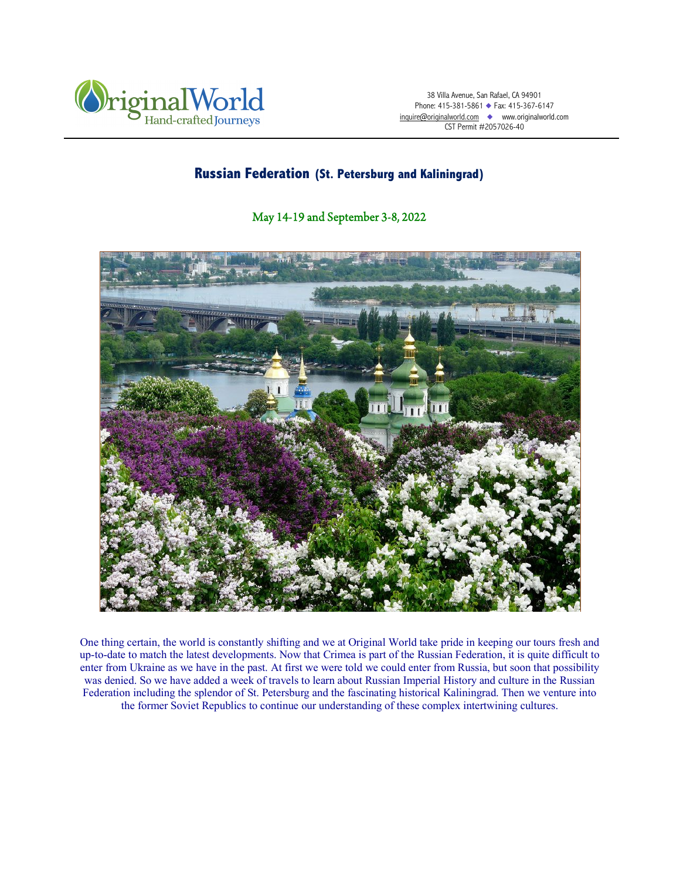

38 Villa Avenue, San Rafael, CA 94901 Phone: 415-381-5861 ◆ Fax: 415-367-6147 inquire@originalworld.com ◆ www.originalworld.com CST Permit #2057026-40

# **Russian Federation (St. Petersburg and Kaliningrad)**

## May 14-19 and September 3-8, 2022



One thing certain, the world is constantly shifting and we at Original World take pride in keeping our tours fresh and up-to-date to match the latest developments. Now that Crimea is part of the Russian Federation, it is quite difficult to enter from Ukraine as we have in the past. At first we were told we could enter from Russia, but soon that possibility was denied. So we have added a week of travels to learn about Russian Imperial History and culture in the Russian Federation including the splendor of St. Petersburg and the fascinating historical Kaliningrad. Then we venture into the former Soviet Republics to continue our understanding of these complex intertwining cultures.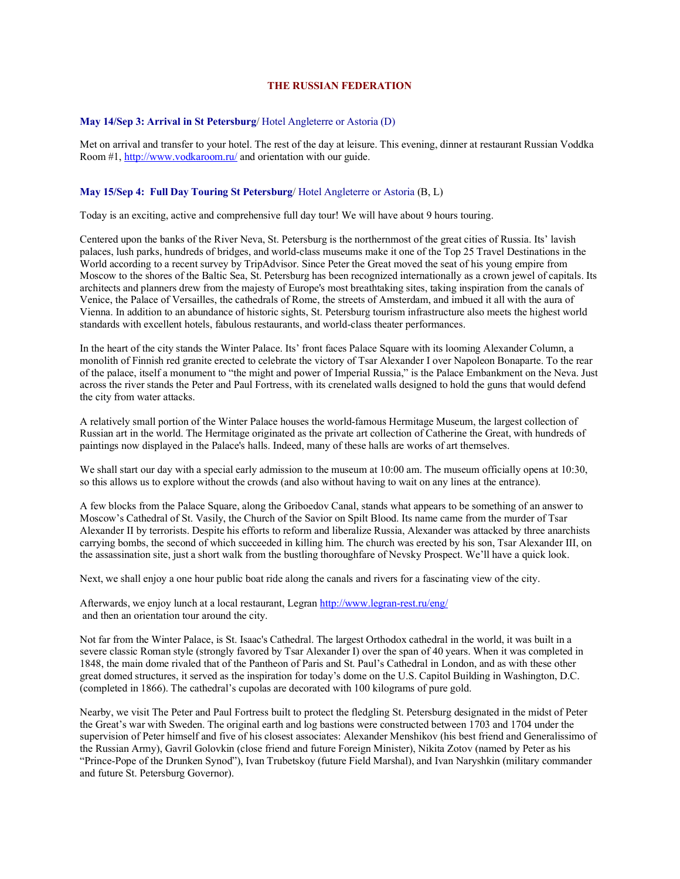## **THE RUSSIAN FEDERATION**

### **May 14/Sep 3: Arrival in St Petersburg**/ Hotel Angleterre or Astoria (D)

Met on arrival and transfer to your hotel. The rest of the day at leisure. This evening, dinner at restaurant Russian Voddka Room #1, http://www.vodkaroom.ru/ and orientation with our guide.

## **May 15/Sep 4: Full Day Touring St Petersburg**/ Hotel Angleterre or Astoria (B, L)

Today is an exciting, active and comprehensive full day tour! We will have about 9 hours touring.

Centered upon the banks of the River Neva, St. Petersburg is the northernmost of the great cities of Russia. Its' lavish palaces, lush parks, hundreds of bridges, and world-class museums make it one of the Top 25 Travel Destinations in the World according to a recent survey by TripAdvisor. Since Peter the Great moved the seat of his young empire from Moscow to the shores of the Baltic Sea, St. Petersburg has been recognized internationally as a crown jewel of capitals. Its architects and planners drew from the majesty of Europe's most breathtaking sites, taking inspiration from the canals of Venice, the Palace of Versailles, the cathedrals of Rome, the streets of Amsterdam, and imbued it all with the aura of Vienna. In addition to an abundance of historic sights, St. Petersburg tourism infrastructure also meets the highest world standards with excellent hotels, fabulous restaurants, and world-class theater performances.

In the heart of the city stands the Winter Palace. Its' front faces Palace Square with its looming Alexander Column, a monolith of Finnish red granite erected to celebrate the victory of Tsar Alexander I over Napoleon Bonaparte. To the rear of the palace, itself a monument to "the might and power of Imperial Russia," is the Palace Embankment on the Neva. Just across the river stands the Peter and Paul Fortress, with its crenelated walls designed to hold the guns that would defend the city from water attacks.

A relatively small portion of the Winter Palace houses the world-famous Hermitage Museum, the largest collection of Russian art in the world. The Hermitage originated as the private art collection of Catherine the Great, with hundreds of paintings now displayed in the Palace's halls. Indeed, many of these halls are works of art themselves.

We shall start our day with a special early admission to the museum at 10:00 am. The museum officially opens at 10:30, so this allows us to explore without the crowds (and also without having to wait on any lines at the entrance).

A few blocks from the Palace Square, along the Griboedov Canal, stands what appears to be something of an answer to Moscow's Cathedral of St. Vasily, the Church of the Savior on Spilt Blood. Its name came from the murder of Tsar Alexander II by terrorists. Despite his efforts to reform and liberalize Russia, Alexander was attacked by three anarchists carrying bombs, the second of which succeeded in killing him. The church was erected by his son, Tsar Alexander III, on the assassination site, just a short walk from the bustling thoroughfare of Nevsky Prospect. We'll have a quick look.

Next, we shall enjoy a one hour public boat ride along the canals and rivers for a fascinating view of the city.

Afterwards, we enjoy lunch at a local restaurant, Legran http://www.legran-rest.ru/eng/ and then an orientation tour around the city.

Not far from the Winter Palace, is St. Isaac's Cathedral. The largest Orthodox cathedral in the world, it was built in a severe classic Roman style (strongly favored by Tsar Alexander I) over the span of 40 years. When it was completed in 1848, the main dome rivaled that of the Pantheon of Paris and St. Paul's Cathedral in London, and as with these other great domed structures, it served as the inspiration for today's dome on the U.S. Capitol Building in Washington, D.C. (completed in 1866). The cathedral's cupolas are decorated with 100 kilograms of pure gold.

Nearby, we visit The Peter and Paul Fortress built to protect the fledgling St. Petersburg designated in the midst of Peter the Great's war with Sweden. The original earth and log bastions were constructed between 1703 and 1704 under the supervision of Peter himself and five of his closest associates: Alexander Menshikov (his best friend and Generalissimo of the Russian Army), Gavril Golovkin (close friend and future Foreign Minister), Nikita Zotov (named by Peter as his "Prince-Pope of the Drunken Synod"), Ivan Trubetskoy (future Field Marshal), and Ivan Naryshkin (military commander and future St. Petersburg Governor).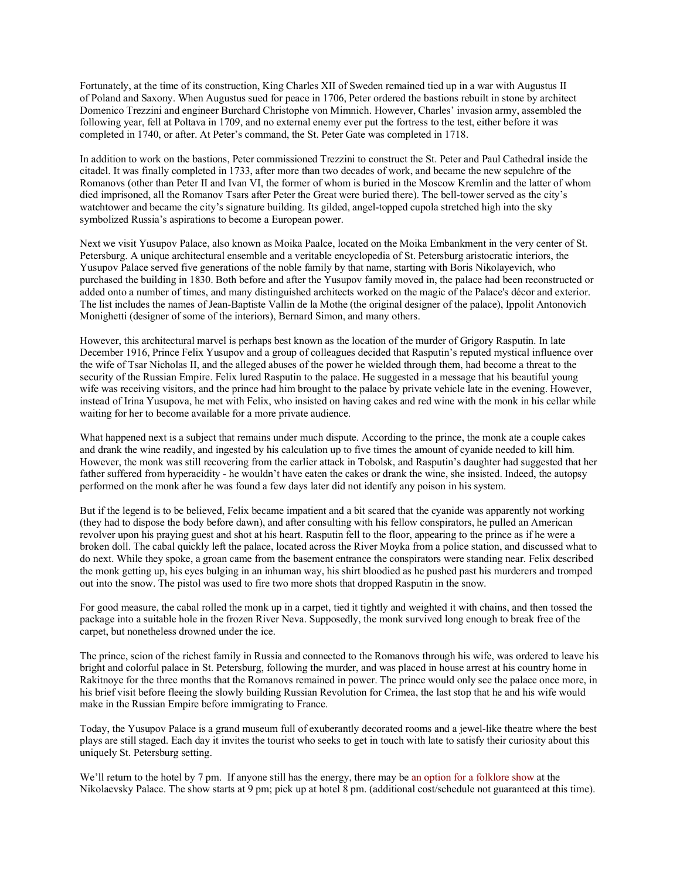Fortunately, at the time of its construction, King Charles XII of Sweden remained tied up in a war with Augustus II of Poland and Saxony. When Augustus sued for peace in 1706, Peter ordered the bastions rebuilt in stone by architect Domenico Trezzini and engineer Burchard Christophe von Mimnich. However, Charles' invasion army, assembled the following year, fell at Poltava in 1709, and no external enemy ever put the fortress to the test, either before it was completed in 1740, or after. At Peter's command, the St. Peter Gate was completed in 1718.

In addition to work on the bastions, Peter commissioned Trezzini to construct the St. Peter and Paul Cathedral inside the citadel. It was finally completed in 1733, after more than two decades of work, and became the new sepulchre of the Romanovs (other than Peter II and Ivan VI, the former of whom is buried in the Moscow Kremlin and the latter of whom died imprisoned, all the Romanov Tsars after Peter the Great were buried there). The bell-tower served as the city's watchtower and became the city's signature building. Its gilded, angel-topped cupola stretched high into the sky symbolized Russia's aspirations to become a European power.

Next we visit Yusupov Palace, also known as Moika Paalce, located on the Moika Embankment in the very center of St. Petersburg. A unique architectural ensemble and a veritable encyclopedia of St. Petersburg aristocratic interiors, the Yusupov Palace served five generations of the noble family by that name, starting with Boris Nikolayevich, who purchased the building in 1830. Both before and after the Yusupov family moved in, the palace had been reconstructed or added onto a number of times, and many distinguished architects worked on the magic of the Palace's décor and exterior. The list includes the names of Jean-Baptiste Vallin de la Mothe (the original designer of the palace), Ippolit Antonovich Monighetti (designer of some of the interiors), Bernard Simon, and many others.

However, this architectural marvel is perhaps best known as the location of the murder of Grigory Rasputin. In late December 1916, Prince Felix Yusupov and a group of colleagues decided that Rasputin's reputed mystical influence over the wife of Tsar Nicholas II, and the alleged abuses of the power he wielded through them, had become a threat to the security of the Russian Empire. Felix lured Rasputin to the palace. He suggested in a message that his beautiful young wife was receiving visitors, and the prince had him brought to the palace by private vehicle late in the evening. However, instead of Irina Yusupova, he met with Felix, who insisted on having cakes and red wine with the monk in his cellar while waiting for her to become available for a more private audience.

What happened next is a subject that remains under much dispute. According to the prince, the monk ate a couple cakes and drank the wine readily, and ingested by his calculation up to five times the amount of cyanide needed to kill him. However, the monk was still recovering from the earlier attack in Tobolsk, and Rasputin's daughter had suggested that her father suffered from hyperacidity - he wouldn't have eaten the cakes or drank the wine, she insisted. Indeed, the autopsy performed on the monk after he was found a few days later did not identify any poison in his system.

But if the legend is to be believed, Felix became impatient and a bit scared that the cyanide was apparently not working (they had to dispose the body before dawn), and after consulting with his fellow conspirators, he pulled an American revolver upon his praying guest and shot at his heart. Rasputin fell to the floor, appearing to the prince as if he were a broken doll. The cabal quickly left the palace, located across the River Moyka from a police station, and discussed what to do next. While they spoke, a groan came from the basement entrance the conspirators were standing near. Felix described the monk getting up, his eyes bulging in an inhuman way, his shirt bloodied as he pushed past his murderers and tromped out into the snow. The pistol was used to fire two more shots that dropped Rasputin in the snow.

For good measure, the cabal rolled the monk up in a carpet, tied it tightly and weighted it with chains, and then tossed the package into a suitable hole in the frozen River Neva. Supposedly, the monk survived long enough to break free of the carpet, but nonetheless drowned under the ice.

The prince, scion of the richest family in Russia and connected to the Romanovs through his wife, was ordered to leave his bright and colorful palace in St. Petersburg, following the murder, and was placed in house arrest at his country home in Rakitnoye for the three months that the Romanovs remained in power. The prince would only see the palace once more, in his brief visit before fleeing the slowly building Russian Revolution for Crimea, the last stop that he and his wife would make in the Russian Empire before immigrating to France.

Today, the Yusupov Palace is a grand museum full of exuberantly decorated rooms and a jewel-like theatre where the best plays are still staged. Each day it invites the tourist who seeks to get in touch with late to satisfy their curiosity about this uniquely St. Petersburg setting.

We'll return to the hotel by 7 pm. If anyone still has the energy, there may be an option for a folklore show at the Nikolaevsky Palace. The show starts at 9 pm; pick up at hotel 8 pm. (additional cost/schedule not guaranteed at this time).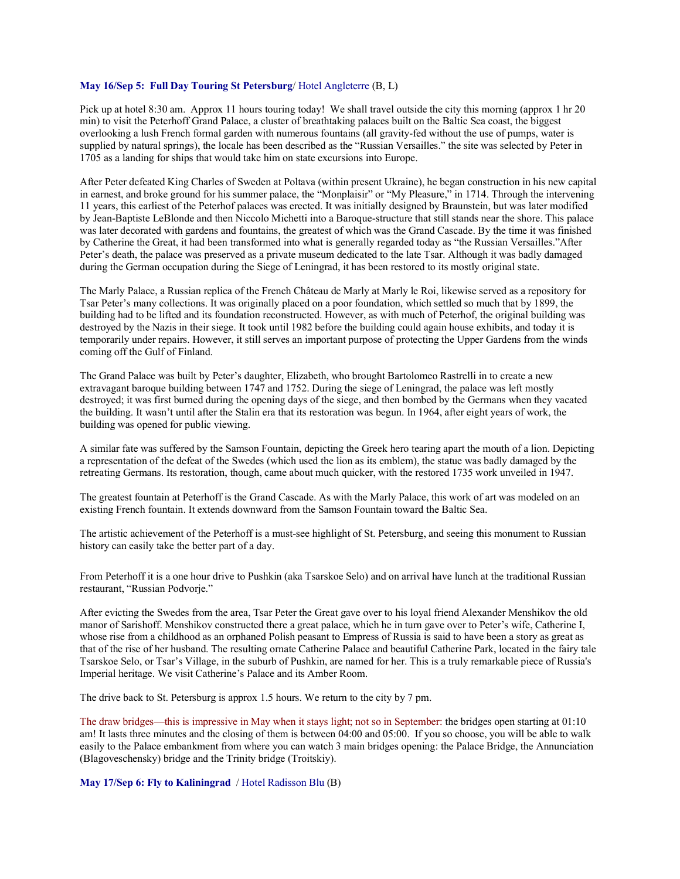## **May 16/Sep 5: Full Day Touring St Petersburg**/ Hotel Angleterre (B, L)

Pick up at hotel 8:30 am. Approx 11 hours touring today! We shall travel outside the city this morning (approx 1 hr 20 min) to visit the Peterhoff Grand Palace, a cluster of breathtaking palaces built on the Baltic Sea coast, the biggest overlooking a lush French formal garden with numerous fountains (all gravity-fed without the use of pumps, water is supplied by natural springs), the locale has been described as the "Russian Versailles." the site was selected by Peter in 1705 as a landing for ships that would take him on state excursions into Europe.

After Peter defeated King Charles of Sweden at Poltava (within present Ukraine), he began construction in his new capital in earnest, and broke ground for his summer palace, the "Monplaisir" or "My Pleasure," in 1714. Through the intervening 11 years, this earliest of the Peterhof palaces was erected. It was initially designed by Braunstein, but was later modified by Jean-Baptiste LeBlonde and then Niccolo Michetti into a Baroque-structure that still stands near the shore. This palace was later decorated with gardens and fountains, the greatest of which was the Grand Cascade. By the time it was finished by Catherine the Great, it had been transformed into what is generally regarded today as "the Russian Versailles."After Peter's death, the palace was preserved as a private museum dedicated to the late Tsar. Although it was badly damaged during the German occupation during the Siege of Leningrad, it has been restored to its mostly original state.

The Marly Palace, a Russian replica of the French Château de Marly at Marly le Roi, likewise served as a repository for Tsar Peter's many collections. It was originally placed on a poor foundation, which settled so much that by 1899, the building had to be lifted and its foundation reconstructed. However, as with much of Peterhof, the original building was destroyed by the Nazis in their siege. It took until 1982 before the building could again house exhibits, and today it is temporarily under repairs. However, it still serves an important purpose of protecting the Upper Gardens from the winds coming off the Gulf of Finland.

The Grand Palace was built by Peter's daughter, Elizabeth, who brought Bartolomeo Rastrelli in to create a new extravagant baroque building between 1747 and 1752. During the siege of Leningrad, the palace was left mostly destroyed; it was first burned during the opening days of the siege, and then bombed by the Germans when they vacated the building. It wasn't until after the Stalin era that its restoration was begun. In 1964, after eight years of work, the building was opened for public viewing.

A similar fate was suffered by the Samson Fountain, depicting the Greek hero tearing apart the mouth of a lion. Depicting a representation of the defeat of the Swedes (which used the lion as its emblem), the statue was badly damaged by the retreating Germans. Its restoration, though, came about much quicker, with the restored 1735 work unveiled in 1947.

The greatest fountain at Peterhoff is the Grand Cascade. As with the Marly Palace, this work of art was modeled on an existing French fountain. It extends downward from the Samson Fountain toward the Baltic Sea.

The artistic achievement of the Peterhoff is a must-see highlight of St. Petersburg, and seeing this monument to Russian history can easily take the better part of a day.

From Peterhoff it is a one hour drive to Pushkin (aka Tsarskoe Selo) and on arrival have lunch at the traditional Russian restaurant, "Russian Podvorje."

After evicting the Swedes from the area, Tsar Peter the Great gave over to his loyal friend Alexander Menshikov the old manor of Sarishoff. Menshikov constructed there a great palace, which he in turn gave over to Peter's wife, Catherine I, whose rise from a childhood as an orphaned Polish peasant to Empress of Russia is said to have been a story as great as that of the rise of her husband. The resulting ornate Catherine Palace and beautiful Catherine Park, located in the fairy tale Tsarskoe Selo, or Tsar's Village, in the suburb of Pushkin, are named for her. This is a truly remarkable piece of Russia's Imperial heritage. We visit Catherine's Palace and its Amber Room.

The drive back to St. Petersburg is approx 1.5 hours. We return to the city by 7 pm.

The draw bridges—this is impressive in May when it stays light; not so in September: the bridges open starting at 01:10 am! It lasts three minutes and the closing of them is between 04:00 and 05:00. If you so choose, you will be able to walk easily to the Palace embankment from where you can watch 3 main bridges opening: the Palace Bridge, the Annunciation (Blagoveschensky) bridge and the Trinity bridge (Troitskiy).

**May 17/Sep 6: Fly to Kaliningrad** / Hotel Radisson Blu (B)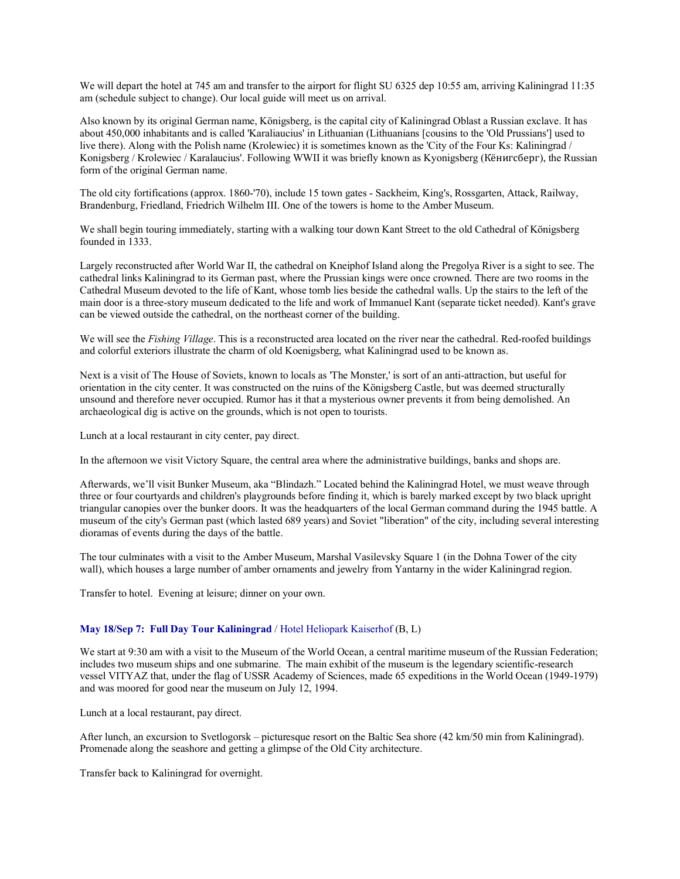We will depart the hotel at 745 am and transfer to the airport for flight SU 6325 dep 10:55 am, arriving Kaliningrad 11:35 am (schedule subject to change). Our local guide will meet us on arrival.

Also known by its original German name, Königsberg, is the capital city of Kaliningrad Oblast a Russian exclave. It has about 450,000 inhabitants and is called 'Karaliaucius' in Lithuanian (Lithuanians [cousins to the 'Old Prussians'] used to live there). Along with the Polish name (Krolewiec) it is sometimes known as the 'City of the Four Ks: Kaliningrad / Konigsberg / Krolewiec / Karalaucius'. Following WWII it was briefly known as Kyonigsberg (Кёнигсберг), the Russian form of the original German name.

The old city fortifications (approx. 1860-'70), include 15 town gates - Sackheim, King's, Rossgarten, Attack, Railway, Brandenburg, Friedland, Friedrich Wilhelm III. One of the towers is home to the Amber Museum.

We shall begin touring immediately, starting with a walking tour down Kant Street to the old Cathedral of Königsberg founded in 1333.

Largely reconstructed after World War II, the cathedral on Kneiphof Island along the Pregolya River is a sight to see. The cathedral links Kaliningrad to its German past, where the Prussian kings were once crowned. There are two rooms in the Cathedral Museum devoted to the life of Kant, whose tomb lies beside the cathedral walls. Up the stairs to the left of the main door is a three-story museum dedicated to the life and work of Immanuel Kant (separate ticket needed). Kant's grave can be viewed outside the cathedral, on the northeast corner of the building.

We will see the *Fishing Village*. This is a reconstructed area located on the river near the cathedral. Red-roofed buildings and colorful exteriors illustrate the charm of old Koenigsberg, what Kaliningrad used to be known as.

Next is a visit of The House of Soviets, known to locals as 'The Monster,' is sort of an anti-attraction, but useful for orientation in the city center. It was constructed on the ruins of the Königsberg Castle, but was deemed structurally unsound and therefore never occupied. Rumor has it that a mysterious owner prevents it from being demolished. An archaeological dig is active on the grounds, which is not open to tourists.

Lunch at a local restaurant in city center, pay direct.

In the afternoon we visit Victory Square, the central area where the administrative buildings, banks and shops are.

Afterwards, we'll visit Bunker Museum, aka "Blindazh." Located behind the Kaliningrad Hotel, we must weave through three or four courtyards and children's playgrounds before finding it, which is barely marked except by two black upright triangular canopies over the bunker doors. It was the headquarters of the local German command during the 1945 battle. A museum of the city's German past (which lasted 689 years) and Soviet "liberation" of the city, including several interesting dioramas of events during the days of the battle.

The tour culminates with a visit to the Amber Museum, Marshal Vasilevsky Square 1 (in the Dohna Tower of the city wall), which houses a large number of amber ornaments and jewelry from Yantarny in the wider Kaliningrad region.

Transfer to hotel. Evening at leisure; dinner on your own.

## **May 18/Sep 7: Full Day Tour Kaliningrad** / Hotel Heliopark Kaiserhof (B, L)

We start at 9:30 am with a visit to the Museum of the World Ocean, a central maritime museum of the Russian Federation; includes two museum ships and one submarine. The main exhibit of the museum is the legendary scientific-research vessel VITYAZ that, under the flag of USSR Academy of Sciences, made 65 expeditions in the World Ocean (1949-1979) and was moored for good near the museum on July 12, 1994.

Lunch at a local restaurant, pay direct.

After lunch, an excursion to Svetlogorsk – picturesque resort on the Baltic Sea shore (42 km/50 min from Kaliningrad). Promenade along the seashore and getting a glimpse of the Old City architecture.

Transfer back to Kaliningrad for overnight.